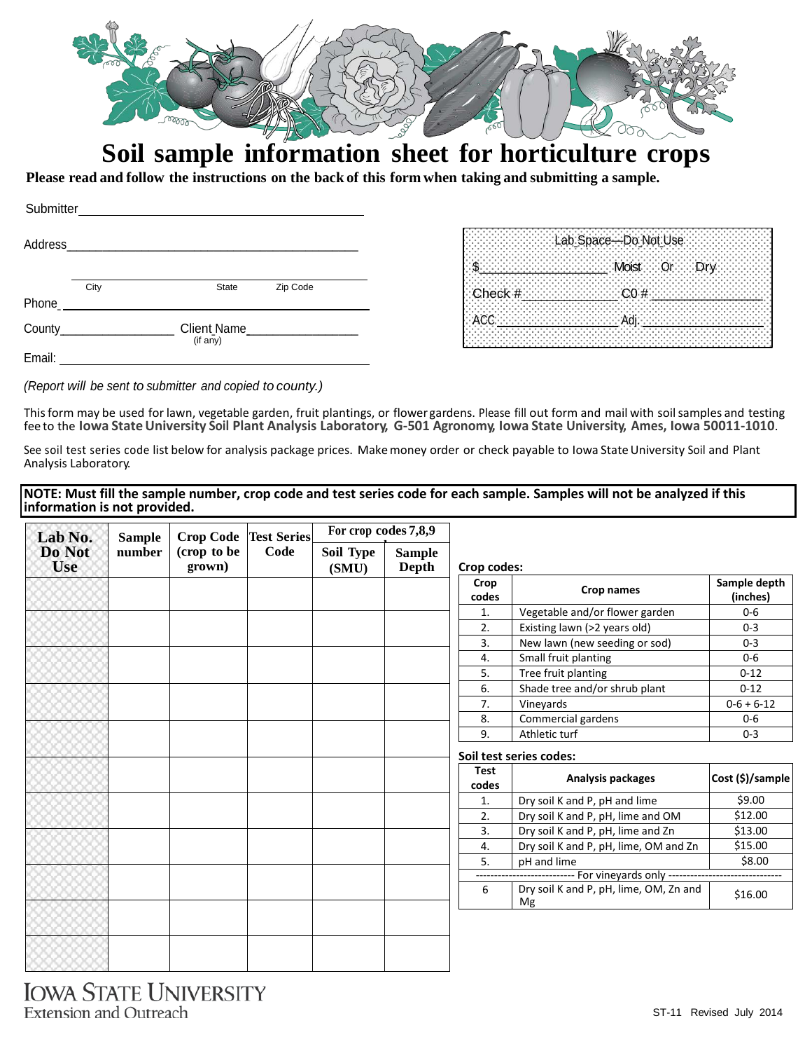

# **Soil sample information sheet for horticulture crops**

Please read and follow the instructions on the back of this form when taking and submitting a sample.

| Submitter              |      |              |          |
|------------------------|------|--------------|----------|
|                        |      |              |          |
|                        | City | <b>State</b> | Zip Code |
| Phone_ $\_\_\_\_\_\_\$ |      |              |          |
|                        |      | (if any)     |          |
| Email:                 |      |              |          |

|                          | th Space—Do Not Use<br>ીક |  |
|--------------------------|---------------------------|--|
|                          | st Or Dr                  |  |
| $\blacksquare$ Check $#$ |                           |  |
|                          |                           |  |
|                          |                           |  |
|                          |                           |  |

*(Report will be sent to submitter and copied to county.)*

Thisform may be used for lawn, vegetable garden, fruit plantings, or flower gardens. Please fill out form and mail with soilsamples and testing fee to the **Iowa StateUniversity Soil Plant Analysis Laboratory, G-501 Agronomy, Iowa State University, Ames, Iowa 50011-1010**.

See soil test series code list below for analysis package prices. Make money order or check payable to Iowa State University Soil and Plant Analysis Laboratory.

| NOTE: Must fill the sample number, crop code and test series code for each sample. Samples will not be analyzed if this |  |
|-------------------------------------------------------------------------------------------------------------------------|--|
| information is not provided.                                                                                            |  |

| Lab No.<br>Do Not<br><b>Use</b> | <b>Sample</b><br>number | <b>Crop Code</b><br>(crop to be<br>grown) | <b>Test Series</b><br>Code | For crop codes 7,8,9 |                               |                      |                                              |                          |
|---------------------------------|-------------------------|-------------------------------------------|----------------------------|----------------------|-------------------------------|----------------------|----------------------------------------------|--------------------------|
|                                 |                         |                                           |                            | Soil Type<br>(SMU)   | <b>Sample</b><br><b>Depth</b> | Crop codes:          |                                              |                          |
|                                 |                         |                                           |                            |                      |                               | Crop<br>codes        | Crop names                                   | Sample depth<br>(inches) |
|                                 |                         |                                           |                            |                      |                               | 1.                   | Vegetable and/or flower garden               | $0-6$                    |
|                                 |                         |                                           |                            |                      |                               | 2.                   | Existing lawn (>2 years old)                 | $0 - 3$                  |
|                                 |                         |                                           |                            |                      |                               | 3.                   | New lawn (new seeding or sod)                | $0 - 3$                  |
|                                 |                         |                                           |                            |                      |                               | 4.                   | Small fruit planting                         | $0-6$                    |
|                                 |                         |                                           |                            |                      |                               | 5.                   | Tree fruit planting                          | $0 - 12$                 |
|                                 |                         |                                           |                            |                      |                               | 6.                   | Shade tree and/or shrub plant                | $0 - 12$                 |
|                                 |                         |                                           |                            |                      |                               | 7.                   | Vineyards                                    | $0-6 + 6-12$             |
|                                 |                         |                                           |                            |                      |                               | 8.                   | Commercial gardens                           | $0-6$                    |
|                                 |                         |                                           |                            |                      |                               | 9.                   | Athletic turf                                | $0 - 3$                  |
|                                 |                         |                                           |                            |                      |                               |                      | Soil test series codes:                      |                          |
|                                 |                         |                                           |                            |                      |                               | <b>Test</b><br>codes | Analysis packages                            | Cost (\$)/sample         |
|                                 |                         |                                           |                            |                      |                               | 1.                   | Dry soil K and P, pH and lime                | \$9.00                   |
|                                 |                         |                                           |                            |                      |                               | 2.                   | Dry soil K and P, pH, lime and OM            | \$12.00                  |
|                                 |                         |                                           |                            |                      |                               | 3.                   | Dry soil K and P, pH, lime and Zn            | \$13.00                  |
|                                 |                         |                                           |                            |                      |                               | 4.                   | Dry soil K and P, pH, lime, OM and Zn        | \$15.00                  |
|                                 |                         |                                           |                            |                      |                               | 5.                   | pH and lime                                  | \$8.00                   |
|                                 |                         |                                           |                            |                      |                               | -------              | ---- For vineyards only ---------            |                          |
|                                 |                         |                                           |                            |                      |                               | 6                    | Dry soil K and P, pH, lime, OM, Zn and<br>Mg | \$16.00                  |
|                                 |                         |                                           |                            |                      |                               |                      |                                              |                          |